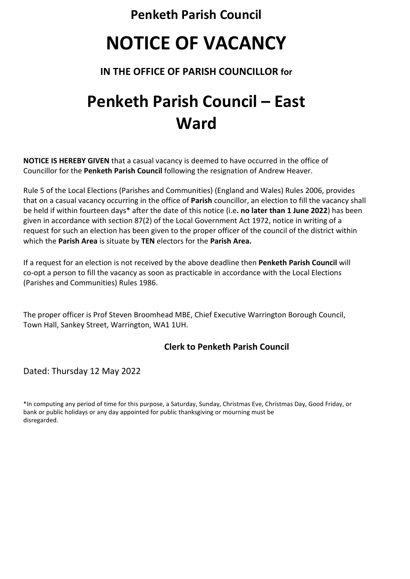**Penketh Parish Council**

# **NOTICE OF VACANCY**

## **IN THE OFFICE OF PARISH COUNCILLOR for**

## **Penketh Parish Council – East Ward**

**NOTICE IS HEREBY GIVEN** that a casual vacancy is deemed to have occurred in the office of Councillor for the **Penketh Parish Council** following the resignation of Andrew Heaver.

Rule 5 of the Local Elections (Parishes and Communities) (England and Wales) Rules 2006, provides that on a casual vacancy occurring in the office of **Parish** councillor, an election to fill the vacancy shall be held if within fourteen days\* after the date of this notice (i.e**. no later than 1 June 2022**) has been given in accordance with section 87(2) of the Local Government Act 1972, notice in writing of a request for such an election has been given to the proper officer of the council of the district within which the **Parish Area** is situate by **TEN** electors for the **Parish Area.**

If a request for an election is not received by the above deadline then **Penketh Parish Council** will co-opt a person to fill the vacancy as soon as practicable in accordance with the Local Elections (Parishes and Communities) Rules 1986.

The proper officer is Prof Steven Broomhead MBE, Chief Executive Warrington Borough Council, Town Hall, Sankey Street, Warrington, WA1 1UH.

### **Clerk to Penketh Parish Council**

Dated: Thursday 12 May 2022

\*In computing any period of time for this purpose, a Saturday, Sunday, Christmas Eve, Christmas Day, Good Friday, or bank or public holidays or any day appointed for public thanksgiving or mourning must be disregarded.